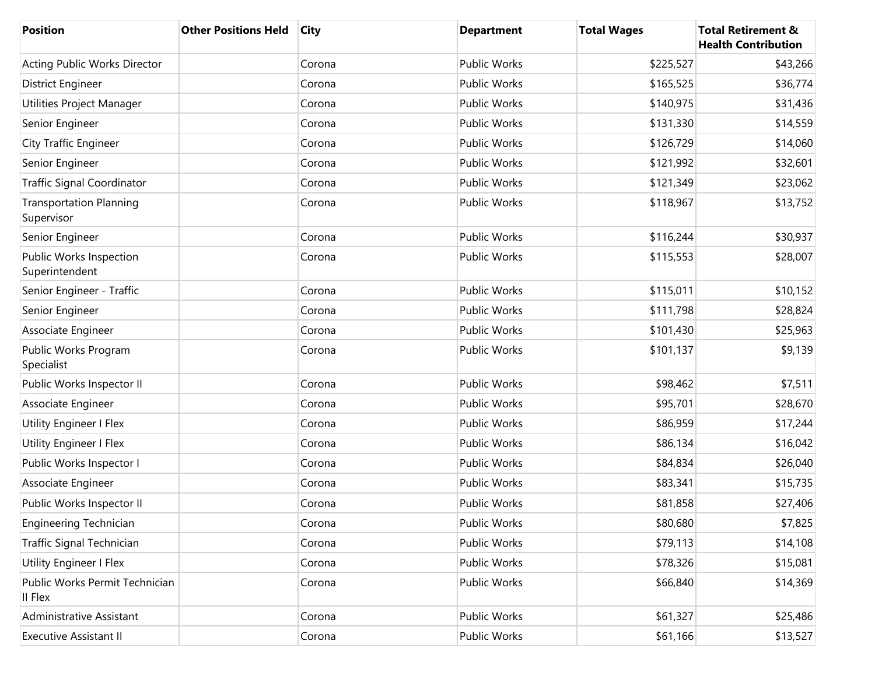| <b>Position</b>                              | <b>Other Positions Held</b> | <b>City</b> | <b>Department</b>   | <b>Total Wages</b> | <b>Total Retirement &amp;</b><br><b>Health Contribution</b> |
|----------------------------------------------|-----------------------------|-------------|---------------------|--------------------|-------------------------------------------------------------|
| Acting Public Works Director                 |                             | Corona      | <b>Public Works</b> | \$225,527          | \$43,266                                                    |
| District Engineer                            |                             | Corona      | <b>Public Works</b> | \$165,525          | \$36,774                                                    |
| Utilities Project Manager                    |                             | Corona      | Public Works        | \$140,975          | \$31,436                                                    |
| Senior Engineer                              |                             | Corona      | Public Works        | \$131,330          | \$14,559                                                    |
| <b>City Traffic Engineer</b>                 |                             | Corona      | <b>Public Works</b> | \$126,729          | \$14,060                                                    |
| Senior Engineer                              |                             | Corona      | Public Works        | \$121,992          | \$32,601                                                    |
| <b>Traffic Signal Coordinator</b>            |                             | Corona      | Public Works        | \$121,349          | \$23,062                                                    |
| <b>Transportation Planning</b><br>Supervisor |                             | Corona      | Public Works        | \$118,967          | \$13,752                                                    |
| Senior Engineer                              |                             | Corona      | Public Works        | \$116,244          | \$30,937                                                    |
| Public Works Inspection<br>Superintendent    |                             | Corona      | Public Works        | \$115,553          | \$28,007                                                    |
| Senior Engineer - Traffic                    |                             | Corona      | Public Works        | \$115,011          | \$10,152                                                    |
| Senior Engineer                              |                             | Corona      | <b>Public Works</b> | \$111,798          | \$28,824                                                    |
| Associate Engineer                           |                             | Corona      | Public Works        | \$101,430          | \$25,963                                                    |
| Public Works Program<br>Specialist           |                             | Corona      | Public Works        | \$101,137          | \$9,139                                                     |
| Public Works Inspector II                    |                             | Corona      | Public Works        | \$98,462           | \$7,511                                                     |
| Associate Engineer                           |                             | Corona      | Public Works        | \$95,701           | \$28,670                                                    |
| Utility Engineer I Flex                      |                             | Corona      | Public Works        | \$86,959           | \$17,244                                                    |
| Utility Engineer I Flex                      |                             | Corona      | Public Works        | \$86,134           | \$16,042                                                    |
| Public Works Inspector I                     |                             | Corona      | Public Works        | \$84,834           | \$26,040                                                    |
| Associate Engineer                           |                             | Corona      | Public Works        | \$83,341           | \$15,735                                                    |
| Public Works Inspector II                    |                             | Corona      | Public Works        | \$81,858           | \$27,406                                                    |
| <b>Engineering Technician</b>                |                             | Corona      | Public Works        | \$80,680           | \$7,825                                                     |
| Traffic Signal Technician                    |                             | Corona      | Public Works        | \$79,113           | \$14,108                                                    |
| <b>Utility Engineer I Flex</b>               |                             | Corona      | Public Works        | \$78,326           | \$15,081                                                    |
| Public Works Permit Technician<br>II Flex    |                             | Corona      | Public Works        | \$66,840           | \$14,369                                                    |
| Administrative Assistant                     |                             | Corona      | Public Works        | \$61,327           | \$25,486                                                    |
| <b>Executive Assistant II</b>                |                             | Corona      | Public Works        | \$61,166           | \$13,527                                                    |